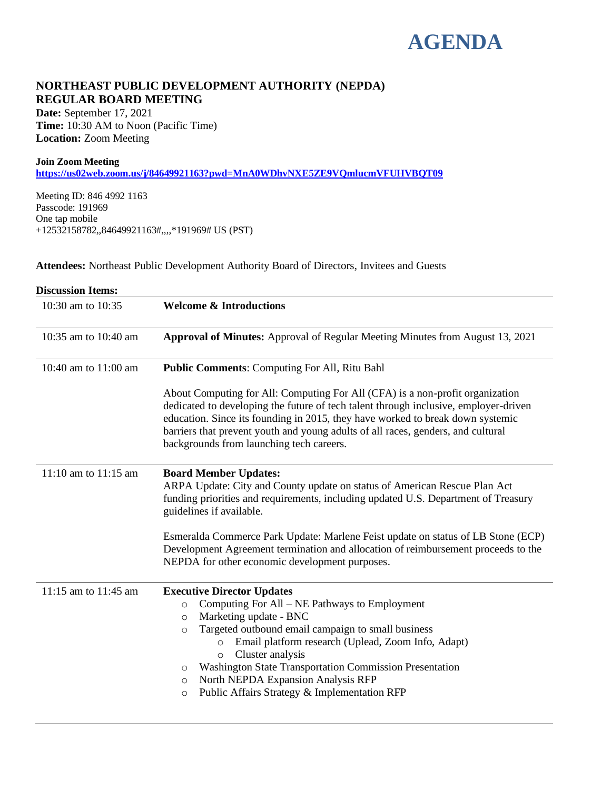# **AGENDA**

# **NORTHEAST PUBLIC DEVELOPMENT AUTHORITY (NEPDA) REGULAR BOARD MEETING**

**Date:** September 17, 2021 **Time:** 10:30 AM to Noon (Pacific Time) **Location:** Zoom Meeting

#### **Join Zoom Meeting**

**<https://us02web.zoom.us/j/84649921163?pwd=MnA0WDhvNXE5ZE9VQmlucmVFUHVBQT09>**

Meeting ID: 846 4992 1163 Passcode: 191969 One tap mobile +12532158782,,84649921163#,,,,\*191969# US (PST)

**Attendees:** Northeast Public Development Authority Board of Directors, Invitees and Guests

| <b>Discussion Items:</b> |                                                                                                                                                                                                                                                                                                                                                                                                                                                                                              |
|--------------------------|----------------------------------------------------------------------------------------------------------------------------------------------------------------------------------------------------------------------------------------------------------------------------------------------------------------------------------------------------------------------------------------------------------------------------------------------------------------------------------------------|
| 10:30 am to 10:35        | <b>Welcome &amp; Introductions</b>                                                                                                                                                                                                                                                                                                                                                                                                                                                           |
| 10:35 am to 10:40 am     | <b>Approval of Minutes:</b> Approval of Regular Meeting Minutes from August 13, 2021                                                                                                                                                                                                                                                                                                                                                                                                         |
| 10:40 am to 11:00 am     | <b>Public Comments: Computing For All, Ritu Bahl</b>                                                                                                                                                                                                                                                                                                                                                                                                                                         |
|                          | About Computing for All: Computing For All (CFA) is a non-profit organization<br>dedicated to developing the future of tech talent through inclusive, employer-driven<br>education. Since its founding in 2015, they have worked to break down systemic<br>barriers that prevent youth and young adults of all races, genders, and cultural<br>backgrounds from launching tech careers.                                                                                                      |
| $11:10$ am to $11:15$ am | <b>Board Member Updates:</b><br>ARPA Update: City and County update on status of American Rescue Plan Act<br>funding priorities and requirements, including updated U.S. Department of Treasury<br>guidelines if available.                                                                                                                                                                                                                                                                  |
|                          | Esmeralda Commerce Park Update: Marlene Feist update on status of LB Stone (ECP)<br>Development Agreement termination and allocation of reimbursement proceeds to the<br>NEPDA for other economic development purposes.                                                                                                                                                                                                                                                                      |
| 11:15 am to 11:45 am     | <b>Executive Director Updates</b><br>Computing For All - NE Pathways to Employment<br>$\circ$<br>Marketing update - BNC<br>$\circ$<br>Targeted outbound email campaign to small business<br>$\circ$<br>Email platform research (Uplead, Zoom Info, Adapt)<br>$\circ$<br>Cluster analysis<br>$\circ$<br><b>Washington State Transportation Commission Presentation</b><br>$\circ$<br>North NEPDA Expansion Analysis RFP<br>$\circ$<br>Public Affairs Strategy & Implementation RFP<br>$\circ$ |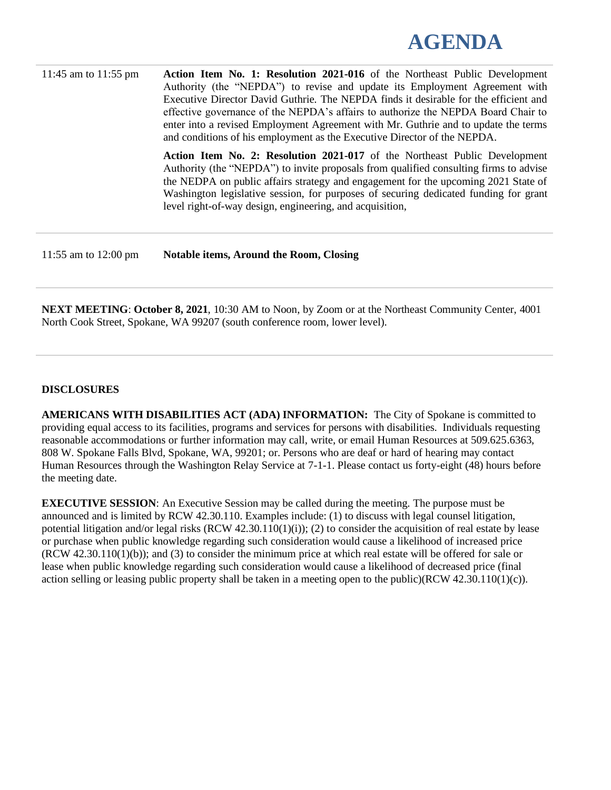

| 11:45 am to $11:55$ pm | Action Item No. 1: Resolution 2021-016 of the Northeast Public Development<br>Authority (the "NEPDA") to revise and update its Employment Agreement with<br>Executive Director David Guthrie. The NEPDA finds it desirable for the efficient and<br>effective governance of the NEPDA's affairs to authorize the NEPDA Board Chair to<br>enter into a revised Employment Agreement with Mr. Guthrie and to update the terms<br>and conditions of his employment as the Executive Director of the NEPDA. |
|------------------------|---------------------------------------------------------------------------------------------------------------------------------------------------------------------------------------------------------------------------------------------------------------------------------------------------------------------------------------------------------------------------------------------------------------------------------------------------------------------------------------------------------|
|                        | Action Item No. 2: Resolution 2021-017 of the Northeast Public Development<br>Authority (the "NEPDA") to invite proposals from qualified consulting firms to advise<br>the NEDPA on public affairs strategy and engagement for the upcoming 2021 State of<br>Washington legislative session, for purposes of securing dedicated funding for grant<br>level right-of-way design, engineering, and acquisition,                                                                                           |
| 11:55 am to 12:00 pm   | <b>Notable items, Around the Room, Closing</b>                                                                                                                                                                                                                                                                                                                                                                                                                                                          |

**NEXT MEETING**: **October 8, 2021**, 10:30 AM to Noon, by Zoom or at the Northeast Community Center, 4001 North Cook Street, Spokane, WA 99207 (south conference room, lower level).

#### **DISCLOSURES**

**AMERICANS WITH DISABILITIES ACT (ADA) INFORMATION:** The City of Spokane is committed to providing equal access to its facilities, programs and services for persons with disabilities. Individuals requesting reasonable accommodations or further information may call, write, or email Human Resources at 509.625.6363, 808 W. Spokane Falls Blvd, Spokane, WA, 99201; or. Persons who are deaf or hard of hearing may contact Human Resources through the Washington Relay Service at 7-1-1. Please contact us forty-eight (48) hours before the meeting date.

**EXECUTIVE SESSION**: An Executive Session may be called during the meeting. The purpose must be announced and is limited by RCW 42.30.110. Examples include: (1) to discuss with legal counsel litigation, potential litigation and/or legal risks (RCW 42.30.110(1)(i)); (2) to consider the acquisition of real estate by lease or purchase when public knowledge regarding such consideration would cause a likelihood of increased price (RCW 42.30.110(1)(b)); and (3) to consider the minimum price at which real estate will be offered for sale or lease when public knowledge regarding such consideration would cause a likelihood of decreased price (final action selling or leasing public property shall be taken in a meeting open to the public)(RCW 42.30.110(1)(c)).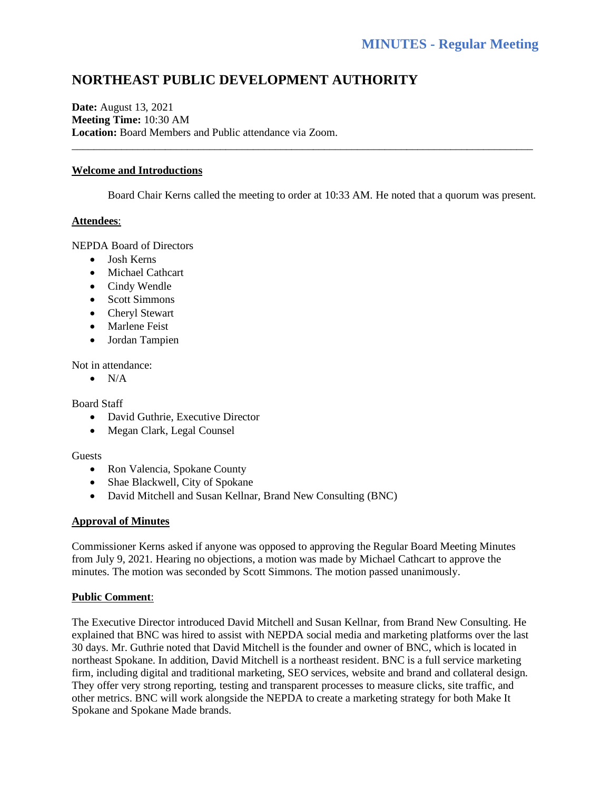# **NORTHEAST PUBLIC DEVELOPMENT AUTHORITY**

**Date:** August 13, 2021 **Meeting Time:** 10:30 AM **Location:** Board Members and Public attendance via Zoom.

#### **Welcome and Introductions**

Board Chair Kerns called the meeting to order at 10:33 AM. He noted that a quorum was present.

\_\_\_\_\_\_\_\_\_\_\_\_\_\_\_\_\_\_\_\_\_\_\_\_\_\_\_\_\_\_\_\_\_\_\_\_\_\_\_\_\_\_\_\_\_\_\_\_\_\_\_\_\_\_\_\_\_\_\_\_\_\_\_\_\_\_\_\_\_\_\_\_\_\_\_\_\_\_\_\_\_\_\_\_

#### **Attendees**:

NEPDA Board of Directors

- Josh Kerns
- Michael Cathcart
- Cindy Wendle
- Scott Simmons
- Cheryl Stewart
- Marlene Feist
- Jordan Tampien

Not in attendance:

 $\bullet$  N/A

Board Staff

- David Guthrie, Executive Director
- Megan Clark, Legal Counsel

#### Guests

- Ron Valencia, Spokane County
- Shae Blackwell, City of Spokane
- David Mitchell and Susan Kellnar, Brand New Consulting (BNC)

#### **Approval of Minutes**

Commissioner Kerns asked if anyone was opposed to approving the Regular Board Meeting Minutes from July 9, 2021. Hearing no objections, a motion was made by Michael Cathcart to approve the minutes. The motion was seconded by Scott Simmons. The motion passed unanimously.

#### **Public Comment**:

The Executive Director introduced David Mitchell and Susan Kellnar, from Brand New Consulting. He explained that BNC was hired to assist with NEPDA social media and marketing platforms over the last 30 days. Mr. Guthrie noted that David Mitchell is the founder and owner of BNC, which is located in northeast Spokane. In addition, David Mitchell is a northeast resident. BNC is a full service marketing firm, including digital and traditional marketing, SEO services, website and brand and collateral design. They offer very strong reporting, testing and transparent processes to measure clicks, site traffic, and other metrics. BNC will work alongside the NEPDA to create a marketing strategy for both Make It Spokane and Spokane Made brands.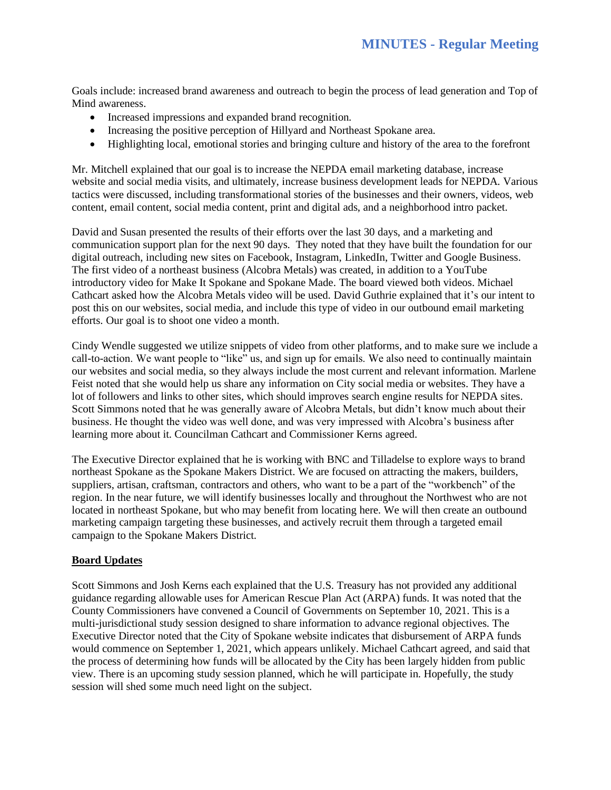Goals include: increased brand awareness and outreach to begin the process of lead generation and Top of Mind awareness.

- Increased impressions and expanded brand recognition.
- Increasing the positive perception of Hillyard and Northeast Spokane area.
- Highlighting local, emotional stories and bringing culture and history of the area to the forefront

Mr. Mitchell explained that our goal is to increase the NEPDA email marketing database, increase website and social media visits, and ultimately, increase business development leads for NEPDA. Various tactics were discussed, including transformational stories of the businesses and their owners, videos, web content, email content, social media content, print and digital ads, and a neighborhood intro packet.

David and Susan presented the results of their efforts over the last 30 days, and a marketing and communication support plan for the next 90 days. They noted that they have built the foundation for our digital outreach, including new sites on Facebook, Instagram, LinkedIn, Twitter and Google Business. The first video of a northeast business (Alcobra Metals) was created, in addition to a YouTube introductory video for Make It Spokane and Spokane Made. The board viewed both videos. Michael Cathcart asked how the Alcobra Metals video will be used. David Guthrie explained that it's our intent to post this on our websites, social media, and include this type of video in our outbound email marketing efforts. Our goal is to shoot one video a month.

Cindy Wendle suggested we utilize snippets of video from other platforms, and to make sure we include a call-to-action. We want people to "like" us, and sign up for emails. We also need to continually maintain our websites and social media, so they always include the most current and relevant information. Marlene Feist noted that she would help us share any information on City social media or websites. They have a lot of followers and links to other sites, which should improves search engine results for NEPDA sites. Scott Simmons noted that he was generally aware of Alcobra Metals, but didn't know much about their business. He thought the video was well done, and was very impressed with Alcobra's business after learning more about it. Councilman Cathcart and Commissioner Kerns agreed.

The Executive Director explained that he is working with BNC and Tilladelse to explore ways to brand northeast Spokane as the Spokane Makers District. We are focused on attracting the makers, builders, suppliers, artisan, craftsman, contractors and others, who want to be a part of the "workbench" of the region. In the near future, we will identify businesses locally and throughout the Northwest who are not located in northeast Spokane, but who may benefit from locating here. We will then create an outbound marketing campaign targeting these businesses, and actively recruit them through a targeted email campaign to the Spokane Makers District.

#### **Board Updates**

Scott Simmons and Josh Kerns each explained that the U.S. Treasury has not provided any additional guidance regarding allowable uses for American Rescue Plan Act (ARPA) funds. It was noted that the County Commissioners have convened a Council of Governments on September 10, 2021. This is a multi-jurisdictional study session designed to share information to advance regional objectives. The Executive Director noted that the City of Spokane website indicates that disbursement of ARPA funds would commence on September 1, 2021, which appears unlikely. Michael Cathcart agreed, and said that the process of determining how funds will be allocated by the City has been largely hidden from public view. There is an upcoming study session planned, which he will participate in. Hopefully, the study session will shed some much need light on the subject.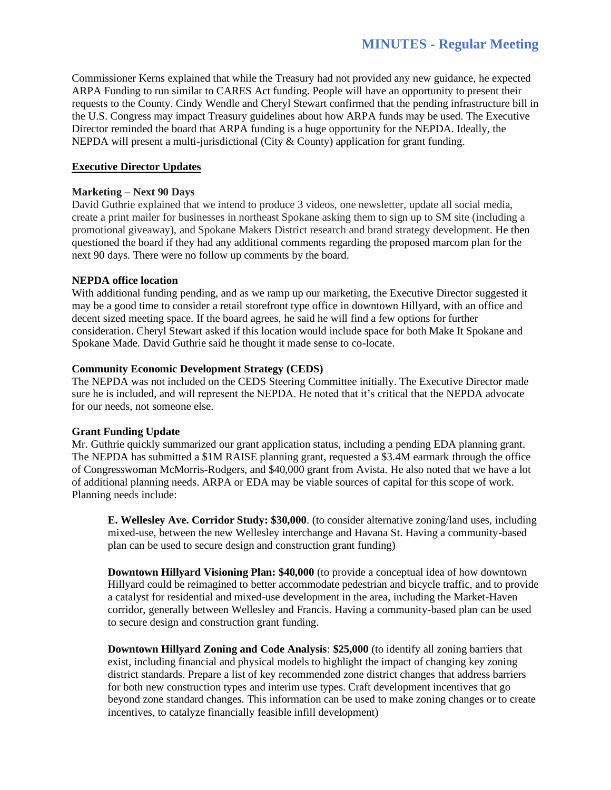Commissioner Kerns explained that while the Treasury had not provided any new guidance, he expected ARPA Funding to run similar to CARES Act funding. People will have an opportunity to present their requests to the County. Cindy Wendle and Cheryl Stewart confirmed that the pending infrastructure bill in the U.S. Congress may impact Treasury guidelines about how ARPA funds may be used. The Executive Director reminded the board that ARPA funding is a huge opportunity for the NEPDA. Ideally, the NEPDA will present a multi-jurisdictional (City & County) application for grant funding.

# **Executive Director Updates**

# **Marketing – Next 90 Days**

David Guthrie explained that we intend to produce 3 videos, one newsletter, update all social media, create a print mailer for businesses in northeast Spokane asking them to sign up to SM site (including a promotional giveaway), and Spokane Makers District research and brand strategy development. He then questioned the board if they had any additional comments regarding the proposed marcom plan for the next 90 days. There were no follow up comments by the board.

#### **NEPDA office location**

With additional funding pending, and as we ramp up our marketing, the Executive Director suggested it may be a good time to consider a retail storefront type office in downtown Hillyard, with an office and decent sized meeting space. If the board agrees, he said he will find a few options for further consideration. Cheryl Stewart asked if this location would include space for both Make It Spokane and Spokane Made. David Guthrie said he thought it made sense to co-locate.

#### **Community Economic Development Strategy (CEDS)**

The NEPDA was not included on the CEDS Steering Committee initially. The Executive Director made sure he is included, and will represent the NEPDA. He noted that it's critical that the NEPDA advocate for our needs, not someone else.

#### **Grant Funding Update**

Mr. Guthrie quickly summarized our grant application status, including a pending EDA planning grant. The NEPDA has submitted a \$1M RAISE planning grant, requested a \$3.4M earmark through the office of Congresswoman McMorris-Rodgers, and \$40,000 grant from Avista. He also noted that we have a lot of additional planning needs. ARPA or EDA may be viable sources of capital for this scope of work. Planning needs include:

**E. Wellesley Ave. Corridor Study: \$30,000**. (to consider alternative zoning/land uses, including mixed-use, between the new Wellesley interchange and Havana St. Having a community-based plan can be used to secure design and construction grant funding)

**Downtown Hillyard Visioning Plan: \$40,000** (to provide a conceptual idea of how downtown Hillyard could be reimagined to better accommodate pedestrian and bicycle traffic, and to provide a catalyst for residential and mixed-use development in the area, including the Market-Haven corridor, generally between Wellesley and Francis. Having a community-based plan can be used to secure design and construction grant funding.

**Downtown Hillyard Zoning and Code Analysis**: **\$25,000** (to identify all zoning barriers that exist, including financial and physical models to highlight the impact of changing key zoning district standards. Prepare a list of key recommended zone district changes that address barriers for both new construction types and interim use types. Craft development incentives that go beyond zone standard changes. This information can be used to make zoning changes or to create incentives, to catalyze financially feasible infill development)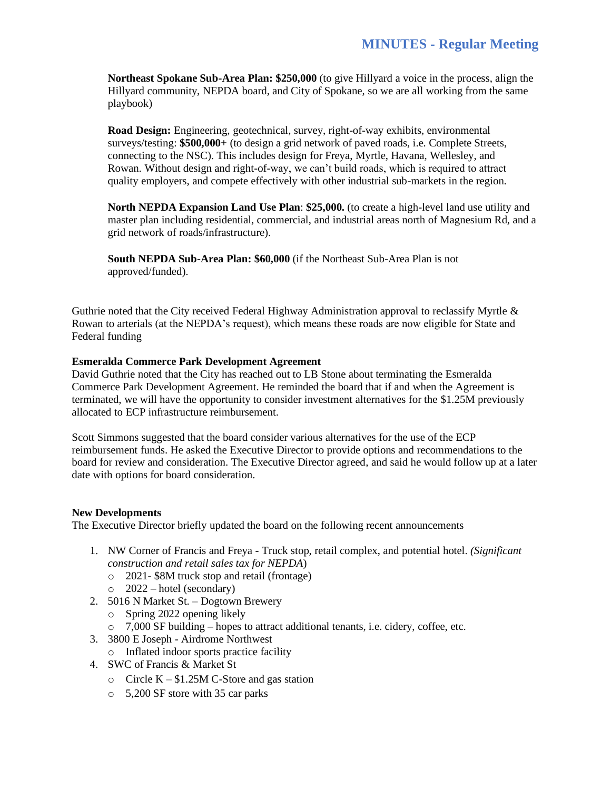**Northeast Spokane Sub-Area Plan: \$250,000** (to give Hillyard a voice in the process, align the Hillyard community, NEPDA board, and City of Spokane, so we are all working from the same playbook)

**Road Design:** Engineering, geotechnical, survey, right-of-way exhibits, environmental surveys/testing: **\$500,000+** (to design a grid network of paved roads, i.e. Complete Streets, connecting to the NSC). This includes design for Freya, Myrtle, Havana, Wellesley, and Rowan. Without design and right-of-way, we can't build roads, which is required to attract quality employers, and compete effectively with other industrial sub-markets in the region.

**North NEPDA Expansion Land Use Plan**: **\$25,000.** (to create a high-level land use utility and master plan including residential, commercial, and industrial areas north of Magnesium Rd, and a grid network of roads/infrastructure).

**South NEPDA Sub-Area Plan: \$60,000** (if the Northeast Sub-Area Plan is not approved/funded).

Guthrie noted that the City received Federal Highway Administration approval to reclassify Myrtle & Rowan to arterials (at the NEPDA's request), which means these roads are now eligible for State and Federal funding

#### **Esmeralda Commerce Park Development Agreement**

David Guthrie noted that the City has reached out to LB Stone about terminating the Esmeralda Commerce Park Development Agreement. He reminded the board that if and when the Agreement is terminated, we will have the opportunity to consider investment alternatives for the \$1.25M previously allocated to ECP infrastructure reimbursement.

Scott Simmons suggested that the board consider various alternatives for the use of the ECP reimbursement funds. He asked the Executive Director to provide options and recommendations to the board for review and consideration. The Executive Director agreed, and said he would follow up at a later date with options for board consideration.

#### **New Developments**

The Executive Director briefly updated the board on the following recent announcements

- 1. NW Corner of Francis and Freya Truck stop, retail complex, and potential hotel. *(Significant construction and retail sales tax for NEPDA*)
	- o 2021- \$8M truck stop and retail (frontage)
	- $\circ$  2022 hotel (secondary)
- 2. 5016 N Market St. Dogtown Brewery
	- o Spring 2022 opening likely
	- o 7,000 SF building hopes to attract additional tenants, i.e. cidery, coffee, etc.
- 3. 3800 E Joseph Airdrome Northwest
	- o Inflated indoor sports practice facility
- 4. SWC of Francis & Market St
	- o Circle  $K $1.25M$  C-Store and gas station
	- o 5,200 SF store with 35 car parks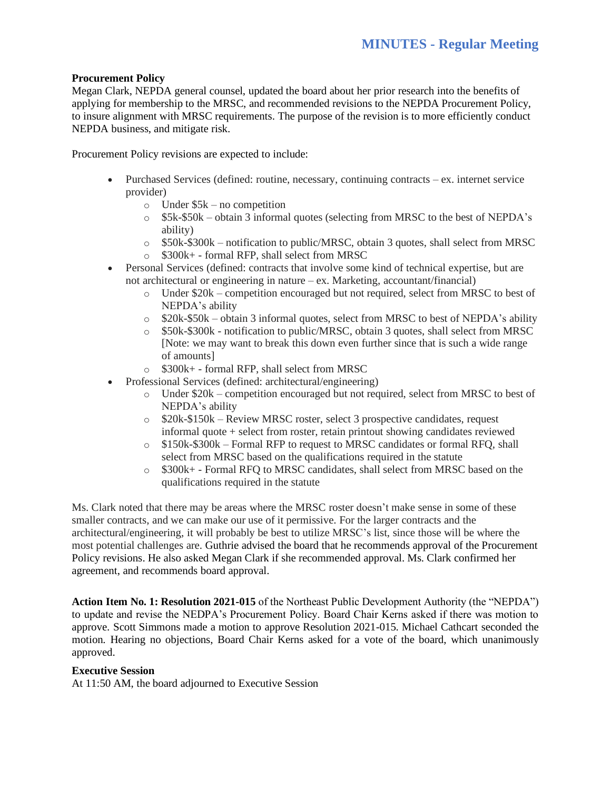# **Procurement Policy**

Megan Clark, NEPDA general counsel, updated the board about her prior research into the benefits of applying for membership to the MRSC, and recommended revisions to the NEPDA Procurement Policy, to insure alignment with MRSC requirements. The purpose of the revision is to more efficiently conduct NEPDA business, and mitigate risk.

Procurement Policy revisions are expected to include:

- Purchased Services (defined: routine, necessary, continuing contracts ex. internet service provider)
	- $\circ$  Under \$5k no competition
	- $\circ$  \$5k-\$50k obtain 3 informal quotes (selecting from MRSC to the best of NEPDA's ability)
	- o \$50k-\$300k notification to public/MRSC, obtain 3 quotes, shall select from MRSC
	- o \$300k+ formal RFP, shall select from MRSC
- Personal Services (defined: contracts that involve some kind of technical expertise, but are not architectural or engineering in nature – ex. Marketing, accountant/financial)
	- $\circ$  Under \$20k competition encouraged but not required, select from MRSC to best of NEPDA's ability
	- o \$20k-\$50k obtain 3 informal quotes, select from MRSC to best of NEPDA's ability
	- o \$50k-\$300k notification to public/MRSC, obtain 3 quotes, shall select from MRSC [Note: we may want to break this down even further since that is such a wide range of amounts]
	- o \$300k+ formal RFP, shall select from MRSC
- Professional Services (defined: architectural/engineering)
	- $\circ$  Under \$20k competition encouraged but not required, select from MRSC to best of NEPDA's ability
	- $\circ$  \$20k-\$150k Review MRSC roster, select 3 prospective candidates, request informal quote + select from roster, retain printout showing candidates reviewed
	- o \$150k-\$300k Formal RFP to request to MRSC candidates or formal RFQ, shall select from MRSC based on the qualifications required in the statute
	- o \$300k+ Formal RFQ to MRSC candidates, shall select from MRSC based on the qualifications required in the statute

Ms. Clark noted that there may be areas where the MRSC roster doesn't make sense in some of these smaller contracts, and we can make our use of it permissive. For the larger contracts and the architectural/engineering, it will probably be best to utilize MRSC's list, since those will be where the most potential challenges are. Guthrie advised the board that he recommends approval of the Procurement Policy revisions. He also asked Megan Clark if she recommended approval. Ms. Clark confirmed her agreement, and recommends board approval.

**Action Item No. 1: Resolution 2021-015** of the Northeast Public Development Authority (the "NEPDA") to update and revise the NEDPA's Procurement Policy. Board Chair Kerns asked if there was motion to approve. Scott Simmons made a motion to approve Resolution 2021-015. Michael Cathcart seconded the motion. Hearing no objections, Board Chair Kerns asked for a vote of the board, which unanimously approved.

#### **Executive Session**

At 11:50 AM, the board adjourned to Executive Session